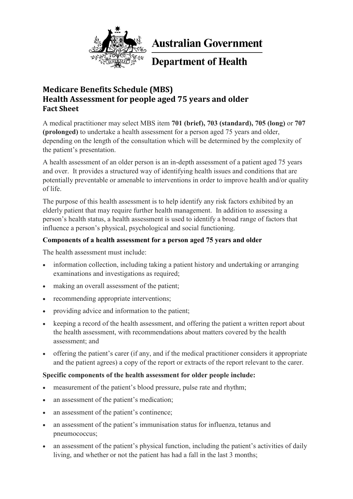

**Australian Government** 

**Department of Health** 

# **Medicare Benefits Schedule (MBS) Health Assessment for people aged 75 years and older Fact Sheet**

A medical practitioner may select MBS item **701 (brief), 703 (standard), 705 (long)** or **707 (prolonged)** to undertake a health assessment for a person aged 75 years and older, depending on the length of the consultation which will be determined by the complexity of the patient's presentation.

A health assessment of an older person is an in-depth assessment of a patient aged 75 years and over. It provides a structured way of identifying health issues and conditions that are potentially preventable or amenable to interventions in order to improve health and/or quality of life.

The purpose of this health assessment is to help identify any risk factors exhibited by an elderly patient that may require further health management. In addition to assessing a person's health status, a health assessment is used to identify a broad range of factors that influence a person's physical, psychological and social functioning.

# **Components of a health assessment for a person aged 75 years and older**

The health assessment must include:

- information collection, including taking a patient history and undertaking or arranging examinations and investigations as required;
- making an overall assessment of the patient;
- recommending appropriate interventions;
- providing advice and information to the patient;
- keeping a record of the health assessment, and offering the patient a written report about the health assessment, with recommendations about matters covered by the health assessment; and
- offering the patient's carer (if any, and if the medical practitioner considers it appropriate and the patient agrees) a copy of the report or extracts of the report relevant to the carer.

# **Specific components of the health assessment for older people include:**

- measurement of the patient's blood pressure, pulse rate and rhythm;
- an assessment of the patient's medication;
- an assessment of the patient's continence;
- an assessment of the patient's immunisation status for influenza, tetanus and pneumococcus;
- an assessment of the patient's physical function, including the patient's activities of daily living, and whether or not the patient has had a fall in the last 3 months;